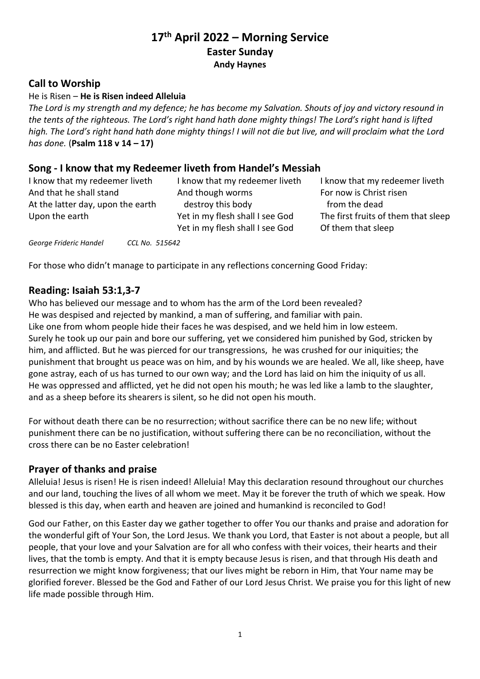# **17th April 2022 – Morning Service Easter Sunday Andy Haynes**

### **Call to Worship**

#### He is Risen – **He is Risen indeed Alleluia**

*The Lord is my strength and my defence; he has become my Salvation. Shouts of joy and victory resound in the tents of the righteous. The Lord's right hand hath done mighty things! The Lord's right hand is lifted high. The Lord's right hand hath done mighty things! I will not die but live, and will proclaim what the Lord has done.* (**Psalm 118 v 14 – 17)**

### **Song - I know that my Redeemer liveth from Handel's Messiah**

I know that my redeemer liveth And that he shall stand At the latter day, upon the earth Upon the earth

I know that my redeemer liveth And though worms destroy this body Yet in my flesh shall I see God Yet in my flesh shall I see God

I know that my redeemer liveth For now is Christ risen from the dead The first fruits of them that sleep Of them that sleep

*George Frideric Handel CCL No. 515642*

For those who didn't manage to participate in any reflections concerning Good Friday:

# **Reading: Isaiah 53:1,3-7**

Who has believed our message and to whom has the arm of the Lord been revealed? He was despised and rejected by mankind, a man of suffering, and familiar with pain. Like one from whom people hide their faces he was despised, and we held him in low esteem. Surely he took up our pain and bore our suffering, yet we considered him punished by God, stricken by him, and afflicted. But he was pierced for our transgressions, he was crushed for our iniquities; the punishment that brought us peace was on him, and by his wounds we are healed. We all, like sheep, have gone astray, each of us has turned to our own way; and the Lord has laid on him the iniquity of us all. He was oppressed and afflicted, yet he did not open his mouth; he was led like a lamb to the slaughter, and as a sheep before its shearers is silent, so he did not open his mouth.

For without death there can be no resurrection; without sacrifice there can be no new life; without punishment there can be no justification, without suffering there can be no reconciliation, without the cross there can be no Easter celebration!

# **Prayer of thanks and praise**

Alleluia! Jesus is risen! He is risen indeed! Alleluia! May this declaration resound throughout our churches and our land, touching the lives of all whom we meet. May it be forever the truth of which we speak. How blessed is this day, when earth and heaven are joined and humankind is reconciled to God!

God our Father, on this Easter day we gather together to offer You our thanks and praise and adoration for the wonderful gift of Your Son, the Lord Jesus. We thank you Lord, that Easter is not about a people, but all people, that your love and your Salvation are for all who confess with their voices, their hearts and their lives, that the tomb is empty. And that it is empty because Jesus is risen, and that through His death and resurrection we might know forgiveness; that our lives might be reborn in Him, that Your name may be glorified forever. Blessed be the God and Father of our Lord Jesus Christ. We praise you for this light of new life made possible through Him.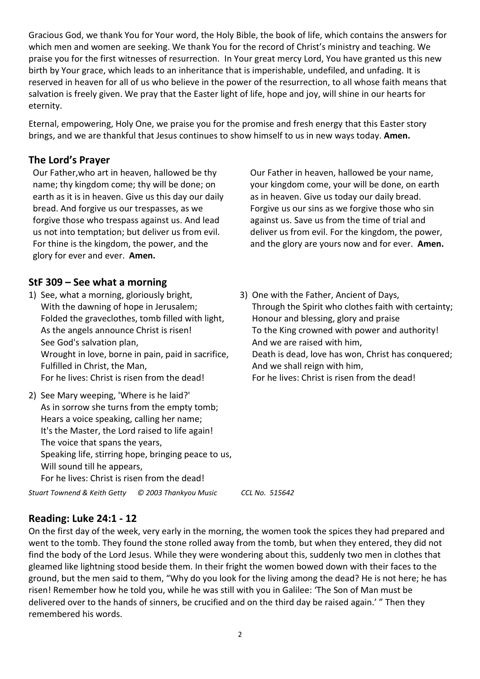Gracious God, we thank You for Your word, the Holy Bible, the book of life, which contains the answers for which men and women are seeking. We thank You for the record of Christ's ministry and teaching. We praise you for the first witnesses of resurrection. In Your great mercy Lord, You have granted us this new birth by Your grace, which leads to an inheritance that is imperishable, undefiled, and unfading. It is reserved in heaven for all of us who believe in the power of the resurrection, to all whose faith means that salvation is freely given. We pray that the Easter light of life, hope and joy, will shine in our hearts for eternity.

Eternal, empowering, Holy One, we praise you for the promise and fresh energy that this Easter story brings, and we are thankful that Jesus continues to show himself to us in new ways today. **Amen.**

## **The Lord's Prayer**

Our Father,who art in heaven, hallowed be thy name; thy kingdom come; thy will be done; on earth as it is in heaven. Give us this day our daily bread. And forgive us our trespasses, as we forgive those who trespass against us. And lead us not into temptation; but deliver us from evil. For thine is the kingdom, the power, and the glory for ever and ever. **Amen.**

#### **StF 309 – See what a morning**

- 1) See, what a morning, gloriously bright, With the dawning of hope in Jerusalem; Folded the graveclothes, tomb filled with light, As the angels announce Christ is risen! See God's salvation plan, Wrought in love, borne in pain, paid in sacrifice, Fulfilled in Christ, the Man, For he lives: Christ is risen from the dead!
- 2) See Mary weeping, 'Where is he laid?' As in sorrow she turns from the empty tomb; Hears a voice speaking, calling her name; It's the Master, the Lord raised to life again! The voice that spans the years, Speaking life, stirring hope, bringing peace to us, Will sound till he appears, For he lives: Christ is risen from the dead!

Our Father in heaven, hallowed be your name, your kingdom come, your will be done, on earth as in heaven. Give us today our daily bread. Forgive us our sins as we forgive those who sin against us. Save us from the time of trial and deliver us from evil. For the kingdom, the power, and the glory are yours now and for ever. **Amen.**

3) One with the Father, Ancient of Days, Through the Spirit who clothes faith with certainty; Honour and blessing, glory and praise To the King crowned with power and authority! And we are raised with him, Death is dead, love has won, Christ has conquered; And we shall reign with him, For he lives: Christ is risen from the dead!

*Stuart Townend & Keith Getty © 2003 Thankyou Music CCL No. 515642*

#### **Reading: Luke 24:1 - 12**

On the first day of the week, very early in the morning, the women took the spices they had prepared and went to the tomb. They found the stone rolled away from the tomb, but when they entered, they did not find the body of the Lord Jesus. While they were wondering about this, suddenly two men in clothes that gleamed like lightning stood beside them. In their fright the women bowed down with their faces to the ground, but the men said to them, "Why do you look for the living among the dead? He is not here; he has risen! Remember how he told you, while he was still with you in Galilee: 'The Son of Man must be delivered over to the hands of sinners, be crucified and on the third day be raised again.' " Then they remembered his words.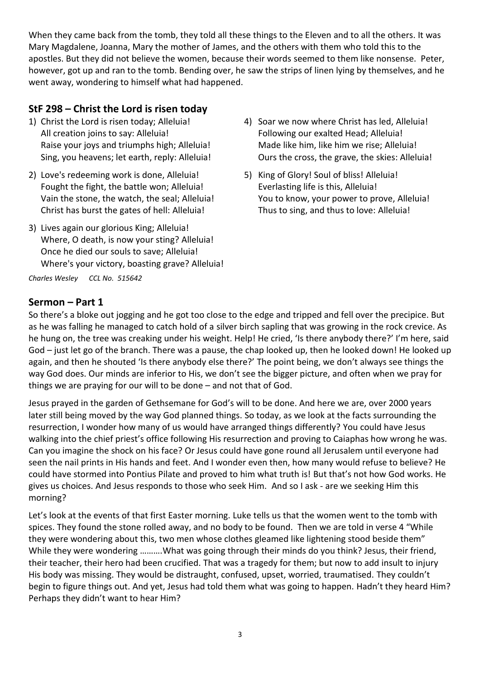When they came back from the tomb, they told all these things to the Eleven and to all the others. It was Mary Magdalene, Joanna, Mary the mother of James, and the others with them who told this to the apostles. But they did not believe the women, because their words seemed to them like nonsense. Peter, however, got up and ran to the tomb. Bending over, he saw the strips of linen lying by themselves, and he went away, wondering to himself what had happened.

# **StF 298 – Christ the Lord is risen today**

- 1) Christ the Lord is risen today; Alleluia! All creation joins to say: Alleluia! Raise your joys and triumphs high; Alleluia! Sing, you heavens; let earth, reply: Alleluia!
- 2) Love's redeeming work is done, Alleluia! Fought the fight, the battle won; Alleluia! Vain the stone, the watch, the seal; Alleluia! Christ has burst the gates of hell: Alleluia!
- 3) Lives again our glorious King; Alleluia! Where, O death, is now your sting? Alleluia! Once he died our souls to save; Alleluia! Where's your victory, boasting grave? Alleluia!
- 4) Soar we now where Christ has led, Alleluia! Following our exalted Head; Alleluia! Made like him, like him we rise; Alleluia! Ours the cross, the grave, the skies: Alleluia!
- 5) King of Glory! Soul of bliss! Alleluia! Everlasting life is this, Alleluia! You to know, your power to prove, Alleluia! Thus to sing, and thus to love: Alleluia!

*Charles Wesley CCL No. 515642*

## **Sermon – Part 1**

So there's a bloke out jogging and he got too close to the edge and tripped and fell over the precipice. But as he was falling he managed to catch hold of a silver birch sapling that was growing in the rock crevice. As he hung on, the tree was creaking under his weight. Help! He cried, 'Is there anybody there?' I'm here, said God – just let go of the branch. There was a pause, the chap looked up, then he looked down! He looked up again, and then he shouted 'Is there anybody else there?' The point being, we don't always see things the way God does. Our minds are inferior to His, we don't see the bigger picture, and often when we pray for things we are praying for our will to be done – and not that of God.

Jesus prayed in the garden of Gethsemane for God's will to be done. And here we are, over 2000 years later still being moved by the way God planned things. So today, as we look at the facts surrounding the resurrection, I wonder how many of us would have arranged things differently? You could have Jesus walking into the chief priest's office following His resurrection and proving to Caiaphas how wrong he was. Can you imagine the shock on his face? Or Jesus could have gone round all Jerusalem until everyone had seen the nail prints in His hands and feet. And I wonder even then, how many would refuse to believe? He could have stormed into Pontius Pilate and proved to him what truth is! But that's not how God works. He gives us choices. And Jesus responds to those who seek Him. And so I ask - are we seeking Him this morning?

Let's look at the events of that first Easter morning. Luke tells us that the women went to the tomb with spices. They found the stone rolled away, and no body to be found. Then we are told in verse 4 "While they were wondering about this, two men whose clothes gleamed like lightening stood beside them" While they were wondering ..........What was going through their minds do you think? Jesus, their friend, their teacher, their hero had been crucified. That was a tragedy for them; but now to add insult to injury His body was missing. They would be distraught, confused, upset, worried, traumatised. They couldn't begin to figure things out. And yet, Jesus had told them what was going to happen. Hadn't they heard Him? Perhaps they didn't want to hear Him?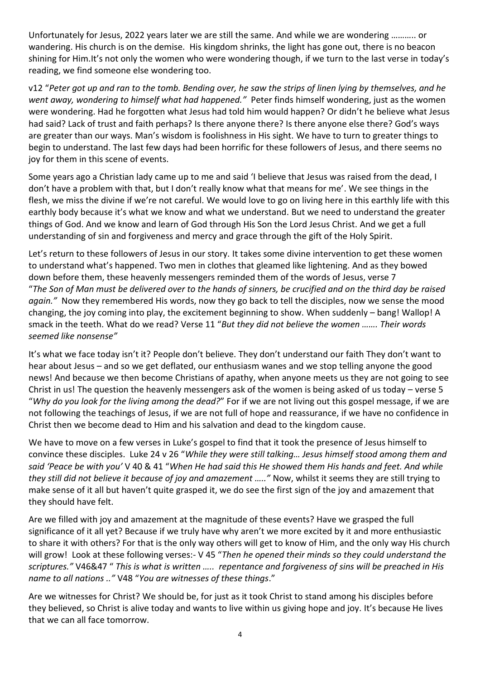Unfortunately for Jesus, 2022 years later we are still the same. And while we are wondering ……….. or wandering. His church is on the demise. His kingdom shrinks, the light has gone out, there is no beacon shining for Him.It's not only the women who were wondering though, if we turn to the last verse in today's reading, we find someone else wondering too.

v12 "*Peter got up and ran to the tomb. Bending over, he saw the strips of linen lying by themselves, and he went away, wondering to himself what had happened."* Peter finds himself wondering, just as the women were wondering. Had he forgotten what Jesus had told him would happen? Or didn't he believe what Jesus had said? Lack of trust and faith perhaps? Is there anyone there? Is there anyone else there? God's ways are greater than our ways. Man's wisdom is foolishness in His sight. We have to turn to greater things to begin to understand. The last few days had been horrific for these followers of Jesus, and there seems no joy for them in this scene of events.

Some years ago a Christian lady came up to me and said 'I believe that Jesus was raised from the dead, I don't have a problem with that, but I don't really know what that means for me'. We see things in the flesh, we miss the divine if we're not careful. We would love to go on living here in this earthly life with this earthly body because it's what we know and what we understand. But we need to understand the greater things of God. And we know and learn of God through His Son the Lord Jesus Christ. And we get a full understanding of sin and forgiveness and mercy and grace through the gift of the Holy Spirit.

Let's return to these followers of Jesus in our story. It takes some divine intervention to get these women to understand what's happened. Two men in clothes that gleamed like lightening. And as they bowed down before them, these heavenly messengers reminded them of the words of Jesus, verse 7 "*The Son of Man must be delivered over to the hands of sinners, be crucified and on the third day be raised again."* Now they remembered His words, now they go back to tell the disciples, now we sense the mood changing, the joy coming into play, the excitement beginning to show. When suddenly – bang! Wallop! A smack in the teeth. What do we read? Verse 11 "*But they did not believe the women ……. Their words seemed like nonsense"*

It's what we face today isn't it? People don't believe. They don't understand our faith They don't want to hear about Jesus – and so we get deflated, our enthusiasm wanes and we stop telling anyone the good news! And because we then become Christians of apathy, when anyone meets us they are not going to see Christ in us! The question the heavenly messengers ask of the women is being asked of us today – verse 5 "*Why do you look for the living among the dead?*" For if we are not living out this gospel message, if we are not following the teachings of Jesus, if we are not full of hope and reassurance, if we have no confidence in Christ then we become dead to Him and his salvation and dead to the kingdom cause.

We have to move on a few verses in Luke's gospel to find that it took the presence of Jesus himself to convince these disciples. Luke 24 v 26 "*While they were still talking… Jesus himself stood among them and said 'Peace be with you'* V 40 & 41 "*When He had said this He showed them His hands and feet. And while they still did not believe it because of joy and amazement ….."* Now, whilst it seems they are still trying to make sense of it all but haven't quite grasped it, we do see the first sign of the joy and amazement that they should have felt.

Are we filled with joy and amazement at the magnitude of these events? Have we grasped the full significance of it all yet? Because if we truly have why aren't we more excited by it and more enthusiastic to share it with others? For that is the only way others will get to know of Him, and the only way His church will grow! Look at these following verses:- V 45 "*Then he opened their minds so they could understand the scriptures."* V46&47 " *This is what is written ….. repentance and forgiveness of sins will be preached in His name to all nations .."* V48 "*You are witnesses of these things*."

Are we witnesses for Christ? We should be, for just as it took Christ to stand among his disciples before they believed, so Christ is alive today and wants to live within us giving hope and joy. It's because He lives that we can all face tomorrow.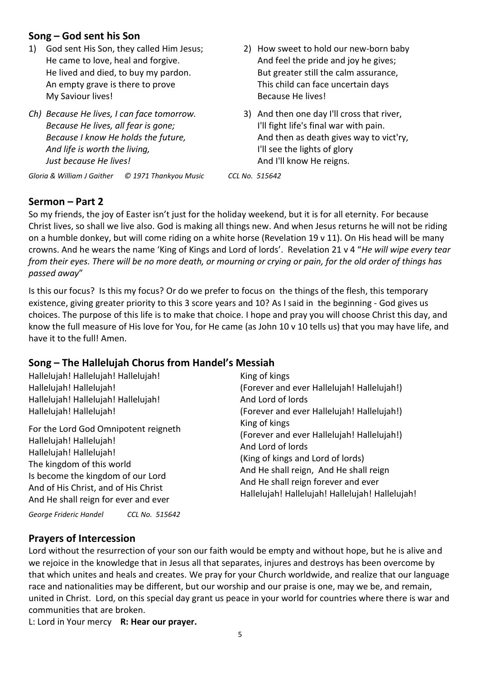## **Song – God sent his Son**

- 1) God sent His Son, they called Him Jesus; He came to love, heal and forgive. He lived and died, to buy my pardon. An empty grave is there to prove My Saviour lives!
- *Ch) Because He lives, I can face tomorrow. Because He lives, all fear is gone; Because I know He holds the future, And life is worth the living, Just because He lives!*

*Gloria & William J Gaither © 1971 Thankyou Music CCL No. 515642*

- 2) How sweet to hold our new-born baby And feel the pride and joy he gives; But greater still the calm assurance, This child can face uncertain days Because He lives!
- 3) And then one day I'll cross that river, I'll fight life's final war with pain. And then as death gives way to vict'ry, I'll see the lights of glory And I'll know He reigns.

#### **Sermon – Part 2**

So my friends, the joy of Easter isn't just for the holiday weekend, but it is for all eternity. For because Christ lives, so shall we live also. God is making all things new. And when Jesus returns he will not be riding on a humble donkey, but will come riding on a white horse (Revelation 19 v 11). On His head will be many crowns. And he wears the name 'King of Kings and Lord of lords'. Revelation 21 v 4 "*He will wipe every tear from their eyes. There will be no more death, or mourning or crying or pain, for the old order of things has passed away*"

Is this our focus? Is this my focus? Or do we prefer to focus on the things of the flesh, this temporary existence, giving greater priority to this 3 score years and 10? As I said in the beginning - God gives us choices. The purpose of this life is to make that choice. I hope and pray you will choose Christ this day, and know the full measure of His love for You, for He came (as John 10 v 10 tells us) that you may have life, and have it to the full! Amen.

### **Song – The Hallelujah Chorus from Handel's Messiah**

| Hallelujah! Hallelujah! Hallelujah!                                                                                                                                                                                                          | King of kings                                                                                                                                                                                                                                             |
|----------------------------------------------------------------------------------------------------------------------------------------------------------------------------------------------------------------------------------------------|-----------------------------------------------------------------------------------------------------------------------------------------------------------------------------------------------------------------------------------------------------------|
| Hallelujah! Hallelujah!                                                                                                                                                                                                                      | (Forever and ever Hallelujah! Hallelujah!)                                                                                                                                                                                                                |
| Hallelujah! Hallelujah! Hallelujah!                                                                                                                                                                                                          | And Lord of lords                                                                                                                                                                                                                                         |
| Hallelujah! Hallelujah!                                                                                                                                                                                                                      | (Forever and ever Hallelujah! Hallelujah!)                                                                                                                                                                                                                |
| For the Lord God Omnipotent reigneth<br>Hallelujah! Hallelujah!<br>Hallelujah! Hallelujah!<br>The kingdom of this world<br>Is become the kingdom of our Lord<br>And of His Christ, and of His Christ<br>And He shall reign for ever and ever | King of kings<br>(Forever and ever Hallelujah! Hallelujah!)<br>And Lord of lords<br>(King of kings and Lord of lords)<br>And He shall reign, And He shall reign<br>And He shall reign forever and ever<br>Hallelujah! Hallelujah! Hallelujah! Hallelujah! |
| George Frideric Handel<br>CCL No. 515642                                                                                                                                                                                                     |                                                                                                                                                                                                                                                           |

**Prayers of Intercession**

Lord without the resurrection of your son our faith would be empty and without hope, but he is alive and we rejoice in the knowledge that in Jesus all that separates, injures and destroys has been overcome by that which unites and heals and creates. We pray for your Church worldwide, and realize that our language race and nationalities may be different, but our worship and our praise is one, may we be, and remain, united in Christ. Lord, on this special day grant us peace in your world for countries where there is war and communities that are broken.

L: Lord in Your mercy **R: Hear our prayer.**